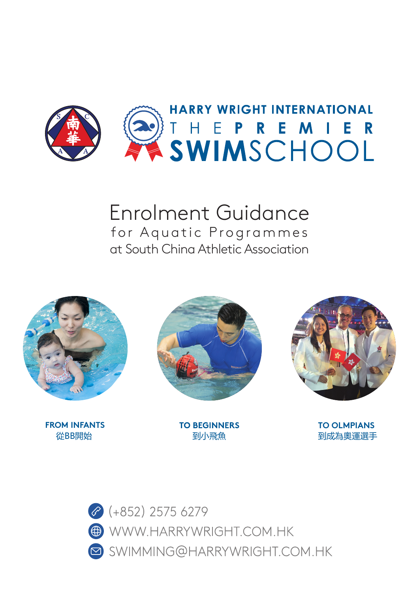

# Enrolment Guidance for Aquatic Programmes at South China Athletic Association





**FROM INFANTS TO BEGINNERS TO OLMPIANS 從BB開始 インター・コンター 利小飛魚 おおし かいしょう つきのう 割成為奥運選手** 



 $\bullet$  (+852) 2575 6279 WWW.HARRYWRIGHT.COM.HK SWIMMING@HARRYWRIGHT.COM.HK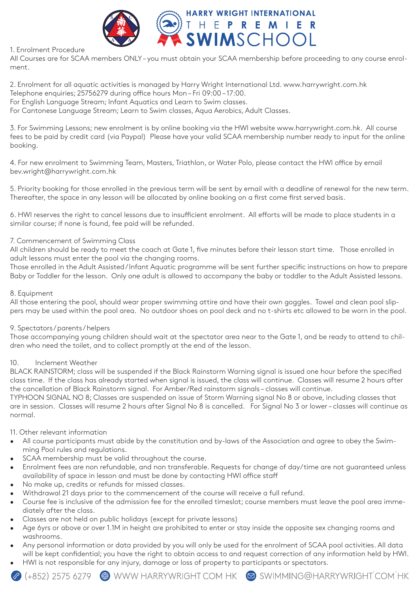

## 1. Enrolment Procedure

All Courses are for SCAA members ONLY – you must obtain your SCAA membership before proceeding to any course enrolment.

2. Enrolment for all aquatic activities is managed by Harry Wright International Ltd. www.harrywright.com.hk Telephone enquiries; 25756279 during office hours Mon – Fri 09:00 – 17:00.

For English Language Stream; Infant Aquatics and Learn to Swim classes.

For Cantonese Language Stream; Learn to Swim classes, Aqua Aerobics, Adult Classes.

3. For Swimming Lessons; new enrolment is by online booking via the HWI website www.harrywright.com.hk. All course fees to be paid by credit card (via Paypal) Please have your valid SCAA membership number ready to input for the online booking.

4. For new enrolment to Swimming Team, Masters, Triathlon, or Water Polo, please contact the HWI office by email bev.wright@harrywright.com.hk

5. Priority booking for those enrolled in the previous term will be sent by email with a deadline of renewal for the new term. Thereafter, the space in any lesson will be allocated by online booking on a first come first served basis.

6. HWI reserves the right to cancel lessons due to insufficient enrolment. All efforts will be made to place students in a similar course; if none is found, fee paid will be refunded.

#### 7. Commencement of Swimming Class

All children should be ready to meet the coach at Gate 1, five minutes before their lesson start time. Those enrolled in adult lessons must enter the pool via the changing rooms.

Those enrolled in the Adult Assisted / Infant Aquatic programme will be sent further specific instructions on how to prepare Baby or Toddler for the lesson. Only one adult is allowed to accompany the baby or toddler to the Adult Assisted lessons.

### 8. Equipment

All those entering the pool, should wear proper swimming attire and have their own goggles. Towel and clean pool slippers may be used within the pool area. No outdoor shoes on pool deck and no t-shirts etc allowed to be worn in the pool.

#### 9. Spectators / parents / helpers

Those accompanying young children should wait at the spectator area near to the Gate 1, and be ready to attend to children who need the toilet, and to collect promptly at the end of the lesson.

#### 10. Inclement Weather

BLACK RAINSTORM; class will be suspended if the Black Rainstorm Warning signal is issued one hour before the specified class time. If the class has already started when signal is issued, the class will continue. Classes will resume 2 hours after the cancellation of Black Rainstorm signal. For Amber/Red rainstorm signals – classes will continue.

TYPHOON SIGNAL NO 8; Classes are suspended on issue of Storm Warning signal No 8 or above, including classes that are in session. Classes will resume 2 hours after Signal No 8 is cancelled. For Signal No 3 or lower – classes will continue as normal.

#### 11. Other relevant information

- All course participants must abide by the constitution and by-laws of the Association and agree to obey the Swimming Pool rules and regulations.
- SCAA membership must be valid throughout the course.
- Enrolment fees are non refundable, and non transferable. Requests for change of day/time are not guaranteed unless availability of space in lesson and must be done by contacting HWI office staff
- No make up, credits or refunds for missed classes.
- Withdrawal 21 days prior to the commencement of the course will receive a full refund.
- Course fee is inclusive of the admission fee for the enrolled timeslot; course members must leave the pool area immediately after the class.
- Classes are not held on public holidays (except for private lessons)
- Age 6yrs or above or over 1.1M in height are prohibited to enter or stay inside the opposite sex changing rooms and washrooms.
- Any personal information or data provided by you will only be used for the enrolment of SCAA pool activities. All data will be kept confidential; you have the right to obtain access to and request correction of any information held by HWI.
- HWI is not responsible for any injury, damage or loss of property to participants or spectators.